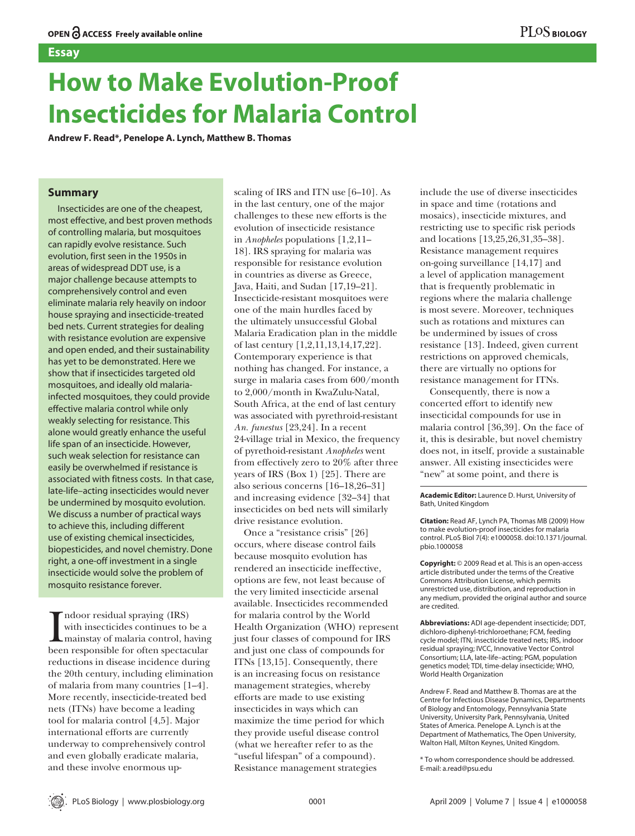# **How to Make Evolution-Proof Insecticides for Malaria Control**

**Andrew F. Read\*, Penelope A. Lynch, Matthew B. Thomas**

# **Summary**

Insecticides are one of the cheapest, most effective, and best proven methods of controlling malaria, but mosquitoes can rapidly evolve resistance. Such evolution, first seen in the 1950s in areas of widespread DDT use, is a major challenge because attempts to comprehensively control and even eliminate malaria rely heavily on indoor house spraying and insecticide-treated bed nets. Current strategies for dealing with resistance evolution are expensive and open ended, and their sustainability has yet to be demonstrated. Here we show that if insecticides targeted old mosquitoes, and ideally old malariainfected mosquitoes, they could provide effective malaria control while only weakly selecting for resistance. This alone would greatly enhance the useful life span of an insecticide. However, such weak selection for resistance can easily be overwhelmed if resistance is associated with fitness costs. In that case, late-life–acting insecticides would never be undermined by mosquito evolution. We discuss a number of practical ways to achieve this, including different use of existing chemical insecticides, biopesticides, and novel chemistry. Done right, a one-off investment in a single insecticide would solve the problem of mosquito resistance forever.

 $\begin{array}{l} \displaystyle \prod \text{ndoor residual spring (IRS)} \\ \text{with insecticides continues to be a} \\ \text{mainstay of malaria control, having} \\ \text{been responsible for often spectacular} \end{array}$ ndoor residual spraying (IRS) with insecticides continues to be a mainstay of malaria control, having reductions in disease incidence during the 20th century, including elimination of malaria from many countries [1–4]. More recently, insecticide-treated bed nets (ITNs) have become a leading tool for malaria control [4,5]. Major international efforts are currently underway to comprehensively control and even globally eradicate malaria, and these involve enormous up-

scaling of IRS and ITN use [6–10]. As in the last century, one of the major challenges to these new efforts is the evolution of insecticide resistance in *Anopheles* populations [1,2,11– 18]. IRS spraying for malaria was responsible for resistance evolution in countries as diverse as Greece, Java, Haiti, and Sudan [17,19–21]. Insecticide-resistant mosquitoes were one of the main hurdles faced by the ultimately unsuccessful Global Malaria Eradication plan in the middle of last century [1,2,11,13,14,17,22]. Contemporary experience is that nothing has changed. For instance, a surge in malaria cases from 600/month to 2,000/month in KwaZulu-Natal, South Africa, at the end of last century was associated with pyrethroid-resistant *An. funestus* [23,24]. In a recent 24-village trial in Mexico, the frequency of pyrethoid-resistant *Anopheles* went from effectively zero to 20% after three years of IRS (Box 1) [25]. There are also serious concerns [16–18,26–31] and increasing evidence [32–34] that insecticides on bed nets will similarly drive resistance evolution.

Once a "resistance crisis" [26] occurs, where disease control fails because mosquito evolution has rendered an insecticide ineffective, options are few, not least because of the very limited insecticide arsenal available. Insecticides recommended for malaria control by the World Health Organization (WHO) represent just four classes of compound for IRS and just one class of compounds for ITNs [13,15]. Consequently, there is an increasing focus on resistance management strategies, whereby efforts are made to use existing insecticides in ways which can maximize the time period for which they provide useful disease control (what we hereafter refer to as the "useful lifespan" of a compound). Resistance management strategies

include the use of diverse insecticides in space and time (rotations and mosaics), insecticide mixtures, and restricting use to specific risk periods and locations [13,25,26,31,35–38]. Resistance management requires on-going surveillance [14,17] and a level of application management that is frequently problematic in regions where the malaria challenge is most severe. Moreover, techniques such as rotations and mixtures can be undermined by issues of cross resistance [13]. Indeed, given current restrictions on approved chemicals, there are virtually no options for resistance management for ITNs.

Consequently, there is now a concerted effort to identify new insecticidal compounds for use in malaria control [36,39]. On the face of it, this is desirable, but novel chemistry does not, in itself, provide a sustainable answer. All existing insecticides were "new" at some point, and there is

**Academic Editor:** Laurence D. Hurst, University of Bath, United Kingdom

**Citation:** Read AF, Lynch PA, Thomas MB (2009) How to make evolution-proof insecticides for malaria control. PLoS Biol 7(4): e1000058. doi:10.1371/journal. pbio.1000058

**Copyright:** © 2009 Read et al. This is an open-access article distributed under the terms of the Creative Commons Attribution License, which permits unrestricted use, distribution, and reproduction in any medium, provided the original author and source are credited.

**Abbreviations:** ADI age-dependent insecticide; DDT, dichloro-diphenyl-trichloroethane; FCM, feeding cycle model; ITN, insecticide treated nets; IRS, indoor residual spraying; IVCC, Innovative Vector Control Consortium; LLA, late-life–acting; PGM, population genetics model; TDI, time-delay insecticide; WHO, World Health Organization

Andrew F. Read and Matthew B. Thomas are at the Centre for Infectious Disease Dynamics, Departments of Biology and Entomology, Pennsylvania State University, University Park, Pennsylvania, United States of America. Penelope A. Lynch is at the Department of Mathematics, The Open University, Walton Hall, Milton Keynes, United Kingdom.

\* To whom correspondence should be addressed. E-mail: a.read@psu.edu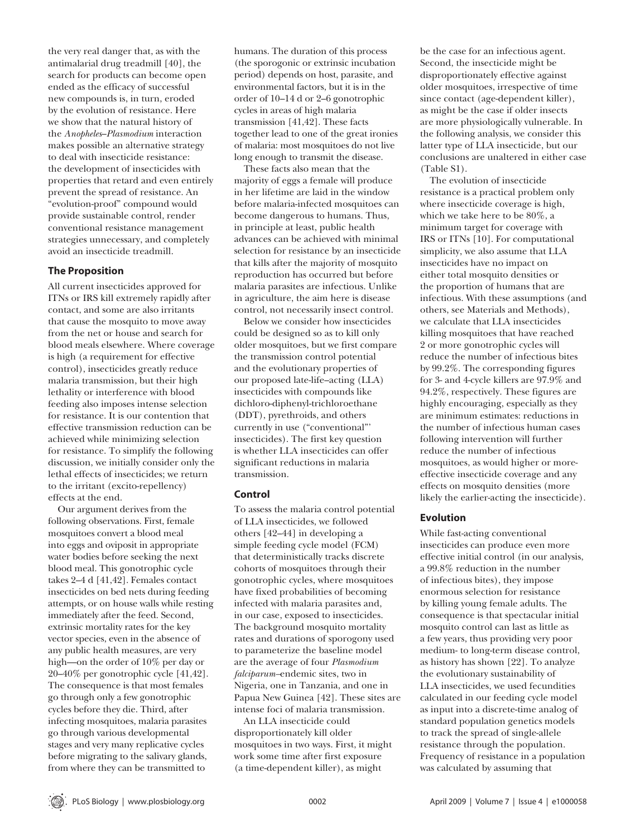the very real danger that, as with the antimalarial drug treadmill [40], the search for products can become open ended as the efficacy of successful new compounds is, in turn, eroded by the evolution of resistance. Here we show that the natural history of the *Anopheles*–*Plasmodium* interaction makes possible an alternative strategy to deal with insecticide resistance: the development of insecticides with properties that retard and even entirely prevent the spread of resistance. An "evolution-proof" compound would provide sustainable control, render conventional resistance management strategies unnecessary, and completely avoid an insecticide treadmill.

# **The Proposition**

All current insecticides approved for ITNs or IRS kill extremely rapidly after contact, and some are also irritants that cause the mosquito to move away from the net or house and search for blood meals elsewhere. Where coverage is high (a requirement for effective control), insecticides greatly reduce malaria transmission, but their high lethality or interference with blood feeding also imposes intense selection for resistance. It is our contention that effective transmission reduction can be achieved while minimizing selection for resistance. To simplify the following discussion, we initially consider only the lethal effects of insecticides; we return to the irritant (excito-repellency) effects at the end.

Our argument derives from the following observations. First, female mosquitoes convert a blood meal into eggs and oviposit in appropriate water bodies before seeking the next blood meal. This gonotrophic cycle takes 2–4 d [41,42]. Females contact insecticides on bed nets during feeding attempts, or on house walls while resting immediately after the feed. Second, extrinsic mortality rates for the key vector species, even in the absence of any public health measures, are very high—on the order of 10% per day or 20–40% per gonotrophic cycle [41,42]. The consequence is that most females go through only a few gonotrophic cycles before they die. Third, after infecting mosquitoes, malaria parasites go through various developmental stages and very many replicative cycles before migrating to the salivary glands, from where they can be transmitted to

humans. The duration of this process (the sporogonic or extrinsic incubation period) depends on host, parasite, and environmental factors, but it is in the order of 10–14 d or 2–6 gonotrophic cycles in areas of high malaria transmission [41,42]. These facts together lead to one of the great ironies of malaria: most mosquitoes do not live long enough to transmit the disease.

These facts also mean that the majority of eggs a female will produce in her lifetime are laid in the window before malaria-infected mosquitoes can become dangerous to humans. Thus, in principle at least, public health advances can be achieved with minimal selection for resistance by an insecticide that kills after the majority of mosquito reproduction has occurred but before malaria parasites are infectious. Unlike in agriculture, the aim here is disease control, not necessarily insect control.

Below we consider how insecticides could be designed so as to kill only older mosquitoes, but we first compare the transmission control potential and the evolutionary properties of our proposed late-life–acting (LLA) insecticides with compounds like dichloro-diphenyl-trichloroethane (DDT), pyrethroids, and others currently in use ("conventional"' insecticides). The first key question is whether LLA insecticides can offer significant reductions in malaria transmission.

# **Control**

To assess the malaria control potential of LLA insecticides, we followed others [42–44] in developing a simple feeding cycle model (FCM) that deterministically tracks discrete cohorts of mosquitoes through their gonotrophic cycles, where mosquitoes have fixed probabilities of becoming infected with malaria parasites and, in our case, exposed to insecticides. The background mosquito mortality rates and durations of sporogony used to parameterize the baseline model are the average of four *Plasmodium falciparum–*endemic sites, two in Nigeria, one in Tanzania, and one in Papua New Guinea [42]. These sites are intense foci of malaria transmission.

An LLA insecticide could disproportionately kill older mosquitoes in two ways. First, it might work some time after first exposure (a time-dependent killer), as might

be the case for an infectious agent. Second, the insecticide might be disproportionately effective against older mosquitoes, irrespective of time since contact (age-dependent killer), as might be the case if older insects are more physiologically vulnerable. In the following analysis, we consider this latter type of LLA insecticide, but our conclusions are unaltered in either case (Table S1).

The evolution of insecticide resistance is a practical problem only where insecticide coverage is high, which we take here to be 80%, a minimum target for coverage with IRS or ITNs [10]. For computational simplicity, we also assume that LLA insecticides have no impact on either total mosquito densities or the proportion of humans that are infectious. With these assumptions (and others, see Materials and Methods), we calculate that LLA insecticides killing mosquitoes that have reached 2 or more gonotrophic cycles will reduce the number of infectious bites by 99.2%. The corresponding figures for 3- and 4-cycle killers are 97.9% and 94.2%, respectively. These figures are highly encouraging, especially as they are minimum estimates: reductions in the number of infectious human cases following intervention will further reduce the number of infectious mosquitoes, as would higher or moreeffective insecticide coverage and any effects on mosquito densities (more likely the earlier-acting the insecticide).

# **Evolution**

While fast-acting conventional insecticides can produce even more effective initial control (in our analysis, a 99.8% reduction in the number of infectious bites), they impose enormous selection for resistance by killing young female adults. The consequence is that spectacular initial mosquito control can last as little as a few years, thus providing very poor medium- to long-term disease control, as history has shown [22]. To analyze the evolutionary sustainability of LLA insecticides, we used fecundities calculated in our feeding cycle model as input into a discrete-time analog of standard population genetics models to track the spread of single-allele resistance through the population. Frequency of resistance in a population was calculated by assuming that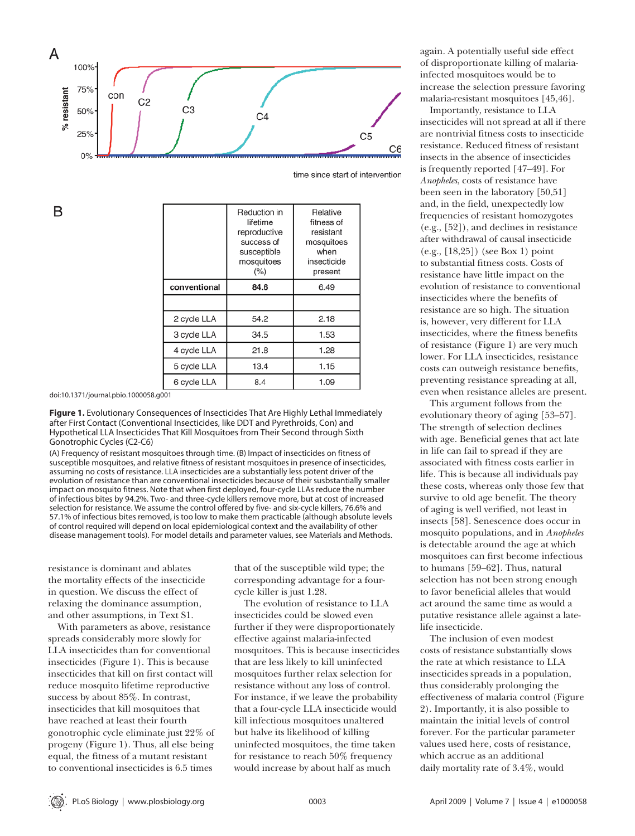

time since start of intervention

|              | Reduction in<br>lifetime<br>reproductive<br>success of<br>susceptible<br>mosquitoes<br>(%) | Relative<br>fitness of<br>resistant<br>mosquitoes<br>when<br>insecticide<br>present |
|--------------|--------------------------------------------------------------------------------------------|-------------------------------------------------------------------------------------|
| conventional | 84.6                                                                                       | 6.49                                                                                |
|              |                                                                                            |                                                                                     |
| 2 cycle LLA  | 54.2                                                                                       | 2.18                                                                                |
| 3 cycle LLA  | 34.5                                                                                       | 1.53                                                                                |
| 4 cycle LLA  | 21.8                                                                                       | 1.28                                                                                |
| 5 cycle LLA  | 13.4                                                                                       | 1.15                                                                                |
| 6 cycle LLA  | 8.4                                                                                        | 1.09                                                                                |

doi:10.1371/journal.pbio.1000058.g001

B

**Figure 1.** Evolutionary Consequences of Insecticides That Are Highly Lethal Immediately after First Contact (Conventional Insecticides, like DDT and Pyrethroids, Con) and Hypothetical LLA Insecticides That Kill Mosquitoes from Their Second through Sixth Gonotrophic Cycles (C2-C6)

(A) Frequency of resistant mosquitoes through time. (B) Impact of insecticides on fitness of susceptible mosquitoes, and relative fitness of resistant mosquitoes in presence of insecticides, assuming no costs of resistance. LLA insecticides are a substantially less potent driver of the evolution of resistance than are conventional insecticides because of their susbstantially smaller impact on mosquito fitness. Note that when first deployed, four-cycle LLAs reduce the number of infectious bites by 94.2%. Two- and three-cycle killers remove more, but at cost of increased selection for resistance. We assume the control offered by five- and six-cycle killers, 76.6% and 57.1% of infectious bites removed, is too low to make them practicable (although absolute levels of control required will depend on local epidemiological context and the availability of other disease management tools). For model details and parameter values, see Materials and Methods.

resistance is dominant and ablates the mortality effects of the insecticide in question. We discuss the effect of relaxing the dominance assumption, and other assumptions, in Text S1.

With parameters as above, resistance spreads considerably more slowly for LLA insecticides than for conventional insecticides (Figure 1). This is because insecticides that kill on first contact will reduce mosquito lifetime reproductive success by about 85%. In contrast, insecticides that kill mosquitoes that have reached at least their fourth gonotrophic cycle eliminate just 22% of progeny (Figure 1). Thus, all else being equal, the fitness of a mutant resistant to conventional insecticides is 6.5 times

that of the susceptible wild type; the corresponding advantage for a fourcycle killer is just 1.28.

The evolution of resistance to LLA insecticides could be slowed even further if they were disproportionately effective against malaria-infected mosquitoes. This is because insecticides that are less likely to kill uninfected mosquitoes further relax selection for resistance without any loss of control. For instance, if we leave the probability that a four-cycle LLA insecticide would kill infectious mosquitoes unaltered but halve its likelihood of killing uninfected mosquitoes, the time taken for resistance to reach 50% frequency would increase by about half as much

again. A potentially useful side effect of disproportionate killing of malariainfected mosquitoes would be to increase the selection pressure favoring malaria-resistant mosquitoes [45,46].

Importantly, resistance to LLA insecticides will not spread at all if there are nontrivial fitness costs to insecticide resistance. Reduced fitness of resistant insects in the absence of insecticides is frequently reported [47–49]. For *Anopheles*, costs of resistance have been seen in the laboratory [50,51] and, in the field, unexpectedly low frequencies of resistant homozygotes (e.g., [52]), and declines in resistance after withdrawal of causal insecticide (e.g., [18,25]) (see Box 1) point to substantial fitness costs. Costs of resistance have little impact on the evolution of resistance to conventional insecticides where the benefits of resistance are so high. The situation is, however, very different for LLA insecticides, where the fitness benefits of resistance (Figure 1) are very much lower. For LLA insecticides, resistance costs can outweigh resistance benefits, preventing resistance spreading at all, even when resistance alleles are present.

This argument follows from the evolutionary theory of aging [53–57]. The strength of selection declines with age. Beneficial genes that act late in life can fail to spread if they are associated with fitness costs earlier in life. This is because all individuals pay these costs, whereas only those few that survive to old age benefit. The theory of aging is well verified, not least in insects [58]. Senescence does occur in mosquito populations, and in *Anopheles* is detectable around the age at which mosquitoes can first become infectious to humans [59–62]. Thus, natural selection has not been strong enough to favor beneficial alleles that would act around the same time as would a putative resistance allele against a latelife insecticide.

The inclusion of even modest costs of resistance substantially slows the rate at which resistance to LLA insecticides spreads in a population, thus considerably prolonging the effectiveness of malaria control (Figure 2). Importantly, it is also possible to maintain the initial levels of control forever. For the particular parameter values used here, costs of resistance, which accrue as an additional daily mortality rate of 3.4%, would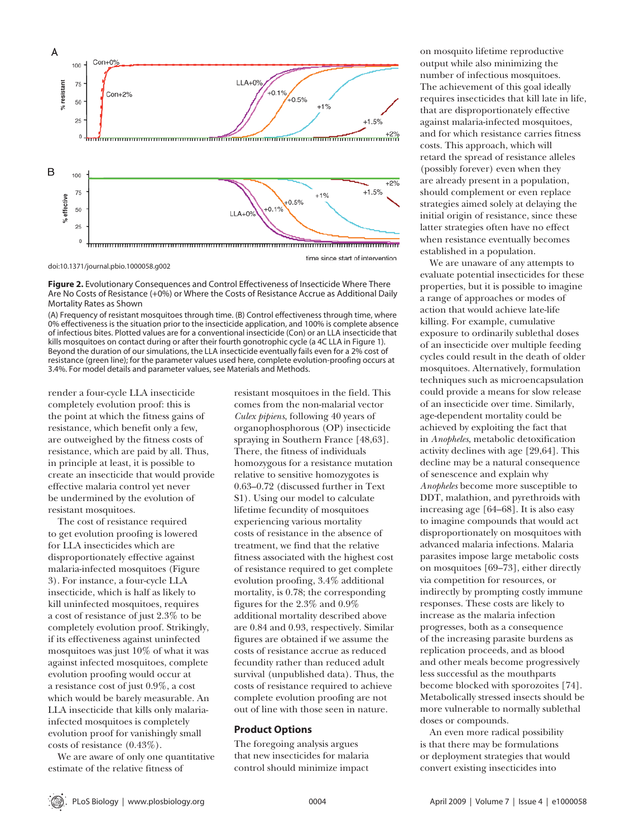

doi:10.1371/journal.pbio.1000058.g002

**Figure 2.** Evolutionary Consequences and Control Effectiveness of Insecticide Where There Are No Costs of Resistance (+0%) or Where the Costs of Resistance Accrue as Additional Daily Mortality Rates as Shown

(A) Frequency of resistant mosquitoes through time. (B) Control effectiveness through time, where 0% effectiveness is the situation prior to the insecticide application, and 100% is complete absence of infectious bites. Plotted values are for a conventional insecticide (Con) or an LLA insecticide that kills mosquitoes on contact during or after their fourth gonotrophic cycle (a 4C LLA in Figure 1). Beyond the duration of our simulations, the LLA insecticide eventually fails even for a 2% cost of resistance (green line); for the parameter values used here, complete evolution-proofing occurs at 3.4%. For model details and parameter values, see Materials and Methods.

render a four-cycle LLA insecticide completely evolution proof: this is the point at which the fitness gains of resistance, which benefit only a few, are outweighed by the fitness costs of resistance, which are paid by all. Thus, in principle at least, it is possible to create an insecticide that would provide effective malaria control yet never be undermined by the evolution of resistant mosquitoes.

The cost of resistance required to get evolution proofing is lowered for LLA insecticides which are disproportionately effective against malaria-infected mosquitoes (Figure 3). For instance, a four-cycle LLA insecticide, which is half as likely to kill uninfected mosquitoes, requires a cost of resistance of just 2.3% to be completely evolution proof. Strikingly, if its effectiveness against uninfected mosquitoes was just 10% of what it was against infected mosquitoes, complete evolution proofing would occur at a resistance cost of just 0.9%, a cost which would be barely measurable. An LLA insecticide that kills only malariainfected mosquitoes is completely evolution proof for vanishingly small costs of resistance (0.43%).

We are aware of only one quantitative estimate of the relative fitness of

resistant mosquitoes in the field. This comes from the non-malarial vector *Culex pipiens*, following 40 years of organophosphorous (OP) insecticide spraying in Southern France [48,63]. There, the fitness of individuals homozygous for a resistance mutation relative to sensitive homozygotes is 0.63–0.72 (discussed further in Text S1). Using our model to calculate lifetime fecundity of mosquitoes experiencing various mortality costs of resistance in the absence of treatment, we find that the relative fitness associated with the highest cost of resistance required to get complete evolution proofing, 3.4% additional mortality, is 0.78; the corresponding figures for the 2.3% and 0.9% additional mortality described above are 0.84 and 0.93, respectively. Similar figures are obtained if we assume the costs of resistance accrue as reduced fecundity rather than reduced adult survival (unpublished data). Thus, the costs of resistance required to achieve complete evolution proofing are not out of line with those seen in nature.

# **Product Options**

The foregoing analysis argues that new insecticides for malaria control should minimize impact

on mosquito lifetime reproductive output while also minimizing the number of infectious mosquitoes. The achievement of this goal ideally requires insecticides that kill late in life, that are disproportionately effective against malaria-infected mosquitoes, and for which resistance carries fitness costs. This approach, which will retard the spread of resistance alleles (possibly forever) even when they are already present in a population, should complement or even replace strategies aimed solely at delaying the initial origin of resistance, since these latter strategies often have no effect when resistance eventually becomes established in a population.

We are unaware of any attempts to evaluate potential insecticides for these properties, but it is possible to imagine a range of approaches or modes of action that would achieve late-life killing. For example, cumulative exposure to ordinarily sublethal doses of an insecticide over multiple feeding cycles could result in the death of older mosquitoes. Alternatively, formulation techniques such as microencapsulation could provide a means for slow release of an insecticide over time. Similarly, age-dependent mortality could be achieved by exploiting the fact that in *Anopheles*, metabolic detoxification activity declines with age [29,64]. This decline may be a natural consequence of senescence and explain why *Anopheles* become more susceptible to DDT, malathion, and pyrethroids with increasing age [64–68]. It is also easy to imagine compounds that would act disproportionately on mosquitoes with advanced malaria infections. Malaria parasites impose large metabolic costs on mosquitoes [69–73], either directly via competition for resources, or indirectly by prompting costly immune responses. These costs are likely to increase as the malaria infection progresses, both as a consequence of the increasing parasite burdens as replication proceeds, and as blood and other meals become progressively less successful as the mouthparts become blocked with sporozoites [74]. Metabolically stressed insects should be more vulnerable to normally sublethal doses or compounds.

An even more radical possibility is that there may be formulations or deployment strategies that would convert existing insecticides into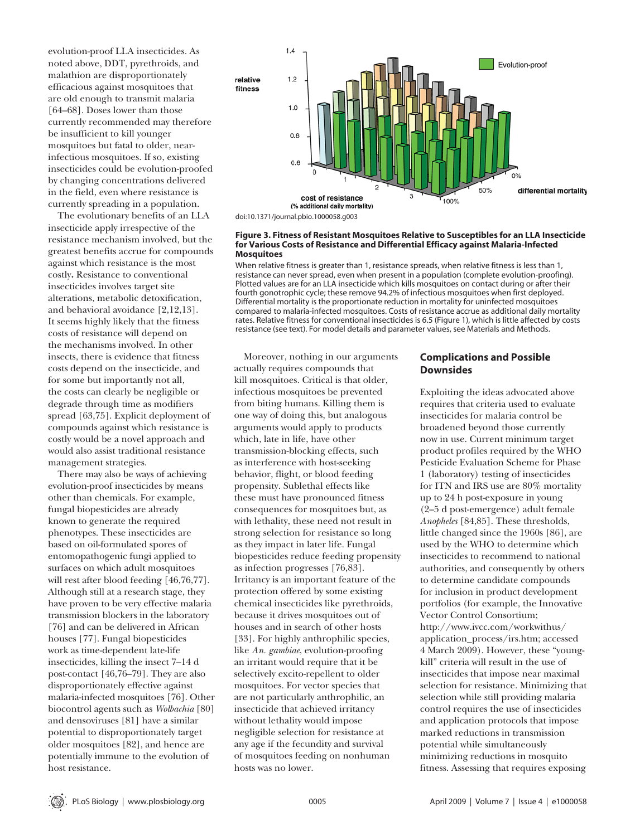evolution-proof LLA insecticides. As noted above, DDT, pyrethroids, and malathion are disproportionately efficacious against mosquitoes that are old enough to transmit malaria [64–68]. Doses lower than those currently recommended may therefore be insufficient to kill younger mosquitoes but fatal to older, nearinfectious mosquitoes. If so, existing insecticides could be evolution-proofed by changing concentrations delivered in the field, even where resistance is currently spreading in a population.

The evolutionary benefits of an LLA insecticide apply irrespective of the resistance mechanism involved, but the greatest benefits accrue for compounds against which resistance is the most costly**.** Resistance to conventional insecticides involves target site alterations, metabolic detoxification, and behavioral avoidance [2,12,13]. It seems highly likely that the fitness costs of resistance will depend on the mechanisms involved. In other insects, there is evidence that fitness costs depend on the insecticide, and for some but importantly not all, the costs can clearly be negligible or degrade through time as modifiers spread [63,75]. Explicit deployment of compounds against which resistance is costly would be a novel approach and would also assist traditional resistance management strategies.

There may also be ways of achieving evolution-proof insecticides by means other than chemicals. For example, fungal biopesticides are already known to generate the required phenotypes. These insecticides are based on oil-formulated spores of entomopathogenic fungi applied to surfaces on which adult mosquitoes will rest after blood feeding [46,76,77]. Although still at a research stage, they have proven to be very effective malaria transmission blockers in the laboratory [76] and can be delivered in African houses [77]. Fungal biopesticides work as time-dependent late-life insecticides, killing the insect 7–14 d post-contact [46,76–79]. They are also disproportionately effective against malaria-infected mosquitoes [76]. Other biocontrol agents such as *Wolbachia* [80] and densoviruses [81] have a similar potential to disproportionately target older mosquitoes [82], and hence are potentially immune to the evolution of host resistance.



doi:10.1371/journal.pbio.1000058.g003

#### **Figure 3. Fitness of Resistant Mosquitoes Relative to Susceptibles for an LLA Insecticide for Various Costs of Resistance and Differential Efficacy against Malaria-Infected Mosquitoes**

When relative fitness is greater than 1, resistance spreads, when relative fitness is less than 1, resistance can never spread, even when present in a population (complete evolution-proofing). Plotted values are for an LLA insecticide which kills mosquitoes on contact during or after their fourth gonotrophic cycle; these remove 94.2% of infectious mosquitoes when first deployed. Differential mortality is the proportionate reduction in mortality for uninfected mosquitoes compared to malaria-infected mosquitoes. Costs of resistance accrue as additional daily mortality rates. Relative fitness for conventional insecticides is 6.5 (Figure 1), which is little affected by costs resistance (see text). For model details and parameter values, see Materials and Methods.

Moreover, nothing in our arguments actually requires compounds that kill mosquitoes. Critical is that older, infectious mosquitoes be prevented from biting humans. Killing them is one way of doing this, but analogous arguments would apply to products which, late in life, have other transmission-blocking effects, such as interference with host-seeking behavior, flight, or blood feeding propensity. Sublethal effects like these must have pronounced fitness consequences for mosquitoes but, as with lethality, these need not result in strong selection for resistance so long as they impact in later life. Fungal biopesticides reduce feeding propensity as infection progresses [76,83]. Irritancy is an important feature of the protection offered by some existing chemical insecticides like pyrethroids, because it drives mosquitoes out of houses and in search of other hosts [33]. For highly anthrophilic species, like *An. gambiae*, evolution-proofing an irritant would require that it be selectively excito-repellent to older mosquitoes. For vector species that are not particularly anthrophilic, an insecticide that achieved irritancy without lethality would impose negligible selection for resistance at any age if the fecundity and survival of mosquitoes feeding on nonhuman hosts was no lower.

# **Complications and Possible Downsides**

Exploiting the ideas advocated above requires that criteria used to evaluate insecticides for malaria control be broadened beyond those currently now in use. Current minimum target product profiles required by the WHO Pesticide Evaluation Scheme for Phase 1 (laboratory) testing of insecticides for ITN and IRS use are 80% mortality up to 24 h post-exposure in young (2–5 d post-emergence) adult female *Anopheles* [84,85]. These thresholds, little changed since the 1960s [86], are used by the WHO to determine which insecticides to recommend to national authorities, and consequently by others to determine candidate compounds for inclusion in product development portfolios (for example, the Innovative Vector Control Consortium; http://www.ivcc.com/workwithus/ application\_process/irs.htm; accessed 4 March 2009). However, these "youngkill" criteria will result in the use of insecticides that impose near maximal selection for resistance. Minimizing that selection while still providing malaria control requires the use of insecticides and application protocols that impose marked reductions in transmission potential while simultaneously minimizing reductions in mosquito fitness. Assessing that requires exposing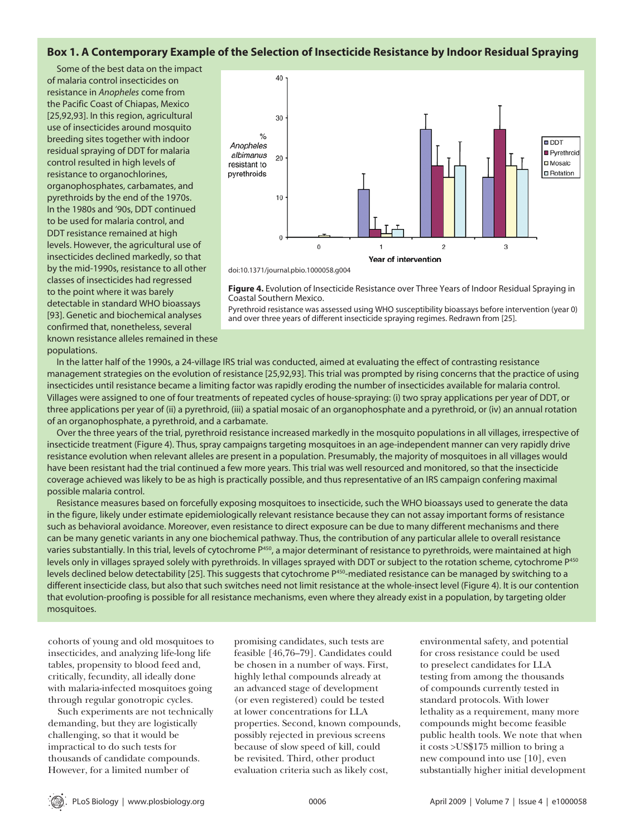# **Box 1. A Contemporary Example of the Selection of Insecticide Resistance by Indoor Residual Spraying**

Some of the best data on the impact of malaria control insecticides on resistance in *Anopheles* come from the Pacific Coast of Chiapas, Mexico [25,92,93]. In this region, agricultural use of insecticides around mosquito breeding sites together with indoor residual spraying of DDT for malaria control resulted in high levels of resistance to organochlorines, organophosphates, carbamates, and pyrethroids by the end of the 1970s. In the 1980s and '90s, DDT continued to be used for malaria control, and DDT resistance remained at high levels. However, the agricultural use of insecticides declined markedly, so that by the mid-1990s, resistance to all other classes of insecticides had regressed to the point where it was barely detectable in standard WHO bioassays [93]. Genetic and biochemical analyses confirmed that, nonetheless, several known resistance alleles remained in these





**Figure 4.** Evolution of Insecticide Resistance over Three Years of Indoor Residual Spraying in Coastal Southern Mexico.

Pyrethroid resistance was assessed using WHO susceptibility bioassays before intervention (year 0) and over three years of different insecticide spraying regimes. Redrawn from [25].

#### populations.

In the latter half of the 1990s, a 24-village IRS trial was conducted, aimed at evaluating the effect of contrasting resistance management strategies on the evolution of resistance [25,92,93]. This trial was prompted by rising concerns that the practice of using insecticides until resistance became a limiting factor was rapidly eroding the number of insecticides available for malaria control. Villages were assigned to one of four treatments of repeated cycles of house-spraying: (i) two spray applications per year of DDT, or three applications per year of (ii) a pyrethroid, (iii) a spatial mosaic of an organophosphate and a pyrethroid, or (iv) an annual rotation of an organophosphate, a pyrethroid, and a carbamate.

Over the three years of the trial, pyrethroid resistance increased markedly in the mosquito populations in all villages, irrespective of insecticide treatment (Figure 4). Thus, spray campaigns targeting mosquitoes in an age-independent manner can very rapidly drive resistance evolution when relevant alleles are present in a population. Presumably, the majority of mosquitoes in all villages would have been resistant had the trial continued a few more years. This trial was well resourced and monitored, so that the insecticide coverage achieved was likely to be as high is practically possible, and thus representative of an IRS campaign confering maximal possible malaria control.

Resistance measures based on forcefully exposing mosquitoes to insecticide, such the WHO bioassays used to generate the data in the figure, likely under estimate epidemiologically relevant resistance because they can not assay important forms of resistance such as behavioral avoidance. Moreover, even resistance to direct exposure can be due to many different mechanisms and there can be many genetic variants in any one biochemical pathway. Thus, the contribution of any particular allele to overall resistance varies substantially. In this trial, levels of cytochrome P<sup>450</sup>, a major determinant of resistance to pyrethroids, were maintained at high levels only in villages sprayed solely with pyrethroids. In villages sprayed with DDT or subject to the rotation scheme, cytochrome P<sup>450</sup> levels declined below detectability [25]. This suggests that cytochrome P<sup>450</sup>-mediated resistance can be managed by switching to a different insecticide class, but also that such switches need not limit resistance at the whole-insect level (Figure 4). It is our contention that evolution-proofing is possible for all resistance mechanisms, even where they already exist in a population, by targeting older mosquitoes.

cohorts of young and old mosquitoes to insecticides, and analyzing life-long life tables, propensity to blood feed and, critically, fecundity, all ideally done with malaria-infected mosquitoes going through regular gonotropic cycles.

Such experiments are not technically demanding, but they are logistically challenging, so that it would be impractical to do such tests for thousands of candidate compounds. However, for a limited number of

promising candidates, such tests are feasible [46,76–79]. Candidates could be chosen in a number of ways. First, highly lethal compounds already at an advanced stage of development (or even registered) could be tested at lower concentrations for LLA properties. Second, known compounds, possibly rejected in previous screens because of slow speed of kill, could be revisited. Third, other product evaluation criteria such as likely cost,

environmental safety, and potential for cross resistance could be used to preselect candidates for LLA testing from among the thousands of compounds currently tested in standard protocols. With lower lethality as a requirement, many more compounds might become feasible public health tools. We note that when it costs >US\$175 million to bring a new compound into use [10], even substantially higher initial development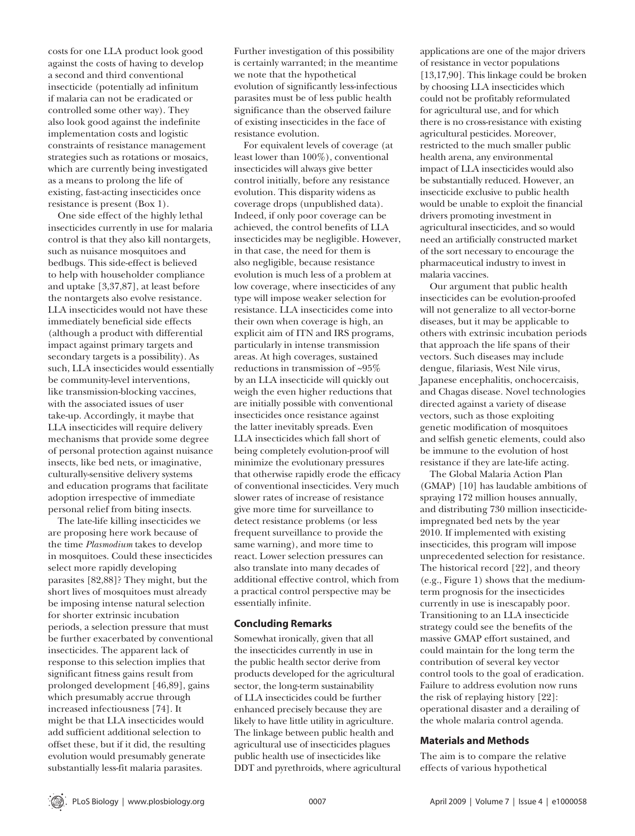costs for one LLA product look good against the costs of having to develop a second and third conventional insecticide (potentially ad infinitum if malaria can not be eradicated or controlled some other way). They also look good against the indefinite implementation costs and logistic constraints of resistance management strategies such as rotations or mosaics, which are currently being investigated as a means to prolong the life of existing, fast-acting insecticides once resistance is present (Box 1).

One side effect of the highly lethal insecticides currently in use for malaria control is that they also kill nontargets, such as nuisance mosquitoes and bedbugs. This side-effect is believed to help with householder compliance and uptake [3,37,87], at least before the nontargets also evolve resistance. LLA insecticides would not have these immediately beneficial side effects (although a product with differential impact against primary targets and secondary targets is a possibility). As such, LLA insecticides would essentially be community-level interventions, like transmission-blocking vaccines, with the associated issues of user take-up. Accordingly, it maybe that LLA insecticides will require delivery mechanisms that provide some degree of personal protection against nuisance insects, like bed nets, or imaginative, culturally-sensitive delivery systems and education programs that facilitate adoption irrespective of immediate personal relief from biting insects.

The late-life killing insecticides we are proposing here work because of the time *Plasmodium* takes to develop in mosquitoes. Could these insecticides select more rapidly developing parasites [82,88]? They might, but the short lives of mosquitoes must already be imposing intense natural selection for shorter extrinsic incubation periods, a selection pressure that must be further exacerbated by conventional insecticides. The apparent lack of response to this selection implies that significant fitness gains result from prolonged development [46,89], gains which presumably accrue through increased infectiousness [74]. It might be that LLA insecticides would add sufficient additional selection to offset these, but if it did, the resulting evolution would presumably generate substantially less-fit malaria parasites.

Further investigation of this possibility is certainly warranted; in the meantime we note that the hypothetical evolution of significantly less-infectious parasites must be of less public health significance than the observed failure of existing insecticides in the face of resistance evolution.

For equivalent levels of coverage (at least lower than 100%), conventional insecticides will always give better control initially, before any resistance evolution. This disparity widens as coverage drops (unpublished data). Indeed, if only poor coverage can be achieved, the control benefits of LLA insecticides may be negligible. However, in that case, the need for them is also negligible, because resistance evolution is much less of a problem at low coverage, where insecticides of any type will impose weaker selection for resistance. LLA insecticides come into their own when coverage is high, an explicit aim of ITN and IRS programs, particularly in intense transmission areas. At high coverages, sustained reductions in transmission of ~95% by an LLA insecticide will quickly out weigh the even higher reductions that are initially possible with conventional insecticides once resistance against the latter inevitably spreads. Even LLA insecticides which fall short of being completely evolution-proof will minimize the evolutionary pressures that otherwise rapidly erode the efficacy of conventional insecticides. Very much slower rates of increase of resistance give more time for surveillance to detect resistance problems (or less frequent surveillance to provide the same warning), and more time to react. Lower selection pressures can also translate into many decades of additional effective control, which from a practical control perspective may be essentially infinite.

# **Concluding Remarks**

Somewhat ironically, given that all the insecticides currently in use in the public health sector derive from products developed for the agricultural sector, the long-term sustainability of LLA insecticides could be further enhanced precisely because they are likely to have little utility in agriculture. The linkage between public health and agricultural use of insecticides plagues public health use of insecticides like DDT and pyrethroids, where agricultural applications are one of the major drivers of resistance in vector populations [13,17,90]. This linkage could be broken by choosing LLA insecticides which could not be profitably reformulated for agricultural use, and for which there is no cross-resistance with existing agricultural pesticides. Moreover, restricted to the much smaller public health arena, any environmental impact of LLA insecticides would also be substantially reduced. However, an insecticide exclusive to public health would be unable to exploit the financial drivers promoting investment in agricultural insecticides, and so would need an artificially constructed market of the sort necessary to encourage the pharmaceutical industry to invest in malaria vaccines.

Our argument that public health insecticides can be evolution-proofed will not generalize to all vector-borne diseases, but it may be applicable to others with extrinsic incubation periods that approach the life spans of their vectors. Such diseases may include dengue, filariasis, West Nile virus, Japanese encephalitis, onchocercaisis, and Chagas disease. Novel technologies directed against a variety of disease vectors, such as those exploiting genetic modification of mosquitoes and selfish genetic elements, could also be immune to the evolution of host resistance if they are late-life acting.

The Global Malaria Action Plan (GMAP) [10] has laudable ambitions of spraying 172 million houses annually, and distributing 730 million insecticideimpregnated bed nets by the year 2010. If implemented with existing insecticides, this program will impose unprecedented selection for resistance. The historical record [22], and theory (e.g., Figure 1) shows that the mediumterm prognosis for the insecticides currently in use is inescapably poor. Transitioning to an LLA insecticide strategy could see the benefits of the massive GMAP effort sustained, and could maintain for the long term the contribution of several key vector control tools to the goal of eradication. Failure to address evolution now runs the risk of replaying history [22]: operational disaster and a derailing of the whole malaria control agenda.

# **Materials and Methods**

The aim is to compare the relative effects of various hypothetical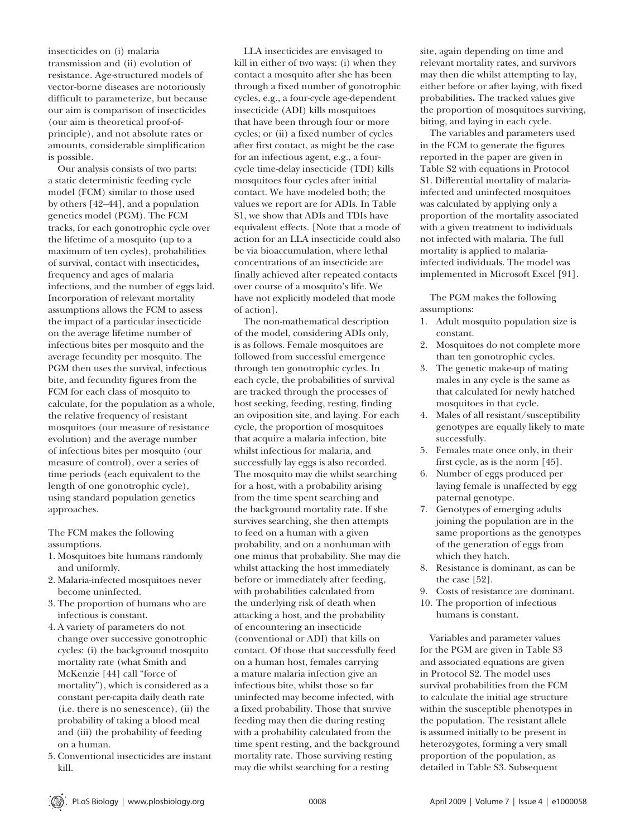insecticides on (i) malaria transmission and (ii) evolution of resistance. Age-structured models of vector-borne diseases are notoriously difficult to parameterize, but because our aim is comparison of insecticides (our aim is theoretical proof-ofprinciple), and not absolute rates or amounts, considerable simplification is possible.

Our analysis consists of two parts: a static deterministic feeding cycle model (FCM) similar to those used by others [42–44], and a population genetics model (PGM). The FCM tracks, for each gonotrophic cycle over the lifetime of a mosquito (up to a maximum of ten cycles), probabilities of survival, contact with insecticides**,** frequency and ages of malaria infections, and the number of eggs laid. Incorporation of relevant mortality assumptions allows the FCM to assess the impact of a particular insecticide on the average lifetime number of infectious bites per mosquito and the average fecundity per mosquito. The PGM then uses the survival, infectious bite, and fecundity figures from the FCM for each class of mosquito to calculate, for the population as a whole, the relative frequency of resistant mosquitoes (our measure of resistance evolution) and the average number of infectious bites per mosquito (our measure of control), over a series of time periods (each equivalent to the length of one gonotrophic cycle), using standard population genetics approaches.

#### The FCM makes the following assumptions.

- 1. Mosquitoes bite humans randomly and uniformly.
- 2. Malaria-infected mosquitoes never become uninfected.
- 3. The proportion of humans who are infectious is constant.
- 4. A variety of parameters do not change over successive gonotrophic cycles: (i) the background mosquito mortality rate (what Smith and McKenzie [44] call "force of mortality"), which is considered as a constant per-capita daily death rate (i.e. there is no senescence), (ii) the probability of taking a blood meal and (iii) the probability of feeding on a human.
- 5. Conventional insecticides are instant kill.

LLA insecticides are envisaged to kill in either of two ways: (i) when they contact a mosquito after she has been through a fixed number of gonotrophic cycles, e.g., a four-cycle age-dependent insecticide (ADI) kills mosquitoes that have been through four or more cycles; or (ii) a fixed number of cycles after first contact, as might be the case for an infectious agent, e.g., a fourcycle time-delay insecticide (TDI) kills mosquitoes four cycles after initial contact. We have modeled both; the values we report are for ADIs. In Table S1, we show that ADIs and TDIs have equivalent effects. [Note that a mode of action for an LLA insecticide could also be via bioaccumulation, where lethal concentrations of an insecticide are finally achieved after repeated contacts over course of a mosquito's life. We have not explicitly modeled that mode of action].

The non-mathematical description of the model, considering ADIs only, is as follows. Female mosquitoes are followed from successful emergence through ten gonotrophic cycles. In each cycle, the probabilities of survival are tracked through the processes of host seeking, feeding, resting, finding an oviposition site, and laying. For each cycle, the proportion of mosquitoes that acquire a malaria infection, bite whilst infectious for malaria, and successfully lay eggs is also recorded. The mosquito may die whilst searching for a host, with a probability arising from the time spent searching and the background mortality rate. If she survives searching, she then attempts to feed on a human with a given probability, and on a nonhuman with one minus that probability. She may die whilst attacking the host immediately before or immediately after feeding, with probabilities calculated from the underlying risk of death when attacking a host, and the probability of encountering an insecticide (conventional or ADI) that kills on contact. Of those that successfully feed on a human host, females carrying a mature malaria infection give an infectious bite, whilst those so far uninfected may become infected, with a fixed probability. Those that survive feeding may then die during resting with a probability calculated from the time spent resting, and the background mortality rate. Those surviving resting may die whilst searching for a resting

site, again depending on time and relevant mortality rates, and survivors may then die whilst attempting to lay, either before or after laying, with fixed probabilities**.** The tracked values give the proportion of mosquitoes surviving, biting, and laying in each cycle.

The variables and parameters used in the FCM to generate the figures reported in the paper are given in Table S2 with equations in Protocol S1. Differential mortality of malariainfected and uninfected mosquitoes was calculated by applying only a proportion of the mortality associated with a given treatment to individuals not infected with malaria. The full mortality is applied to malariainfected individuals. The model was implemented in Microsoft Excel [91].

The PGM makes the following assumptions:

- 1. Adult mosquito population size is constant.
- 2. Mosquitoes do not complete more than ten gonotrophic cycles.
- 3. The genetic make-up of mating males in any cycle is the same as that calculated for newly hatched mosquitoes in that cycle.
- 4. Males of all resistant/susceptibility genotypes are equally likely to mate successfully.
- 5. Females mate once only, in their first cycle, as is the norm [45].
- 6. Number of eggs produced per laying female is unaffected by egg paternal genotype.
- 7. Genotypes of emerging adults joining the population are in the same proportions as the genotypes of the generation of eggs from which they hatch.
- 8. Resistance is dominant, as can be the case [52].
- 9. Costs of resistance are dominant.
- 10. The proportion of infectious humans is constant.

Variables and parameter values for the PGM are given in Table S3 and associated equations are given in Protocol S2. The model uses survival probabilities from the FCM to calculate the initial age structure within the susceptible phenotypes in the population. The resistant allele is assumed initially to be present in heterozygotes, forming a very small proportion of the population, as detailed in Table S3. Subsequent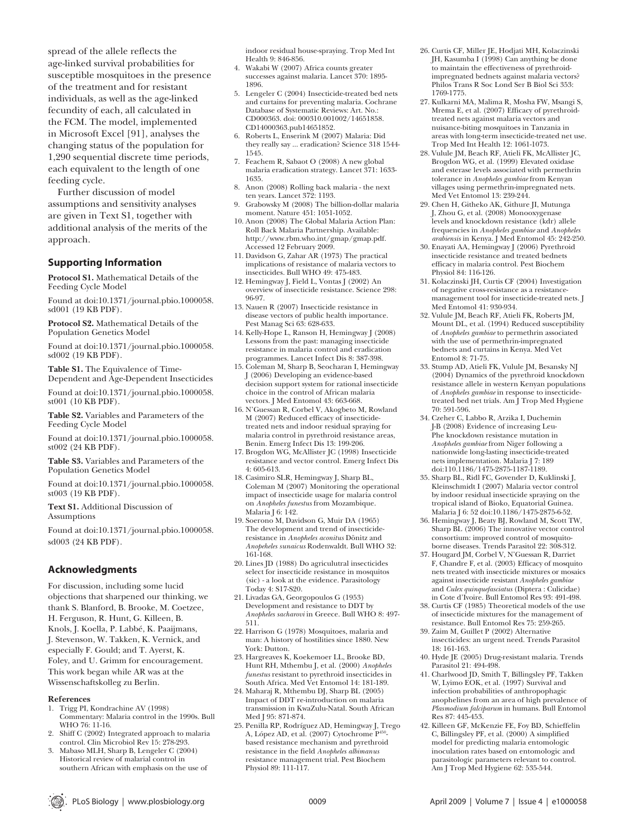spread of the allele reflects the age-linked survival probabilities for susceptible mosquitoes in the presence of the treatment and for resistant individuals, as well as the age-linked fecundity of each, all calculated in the FCM. The model, implemented in Microsoft Excel [91], analyses the changing status of the population for 1,290 sequential discrete time periods, each equivalent to the length of one feeding cycle.

Further discussion of model assumptions and sensitivity analyses are given in Text S1, together with additional analysis of the merits of the approach.

#### **Supporting Information**

**Protocol S1.** Mathematical Details of the Feeding Cycle Model

Found at doi:10.1371/journal.pbio.1000058. sd001 (19 KB PDF).

**Protocol S2.** Mathematical Details of the Population Genetics Model

Found at doi:10.1371/journal.pbio.1000058. sd002 (19 KB PDF).

**Table S1.** The Equivalence of Time-Dependent and Age-Dependent Insecticides

Found at doi:10.1371/journal.pbio.1000058. st001 (10 KB PDF).

**Table S2.** Variables and Parameters of the Feeding Cycle Model

Found at doi:10.1371/journal.pbio.1000058. st002 (24 KB PDF).

**Table S3.** Variables and Parameters of the Population Genetics Model

Found at doi:10.1371/journal.pbio.1000058. st003 (19 KB PDF).

**Text S1.** Additional Discussion of Assumptions

Found at doi:10.1371/journal.pbio.1000058. sd003 (24 KB PDF).

# **Acknowledgments**

For discussion, including some lucid objections that sharpened our thinking, we thank S. Blanford, B. Brooke, M. Coetzee, H. Ferguson, R. Hunt, G. Killeen, B. Knols, J. Koella, P. Labbé, K. Paaijmans, J. Stevenson, W. Takken, K. Vernick, and especially F. Gould; and T. Ayerst, K. Foley, and U. Grimm for encouragement. This work began while AR was at the Wissenschaftskolleg zu Berlin.

#### **References**

- 1. Trigg PI, Kondrachine AV (1998) Commentary: Malaria control in the 1990s. Bull WHO 76: 11-16.
- 2. Shiff C (2002) Integrated approach to malaria control. Clin Microbiol Rev 15: 278-293.
- 3. Mabaso MLH, Sharp B, Lengeler C (2004) Historical review of malarial control in southern African with emphasis on the use of

indoor residual house-spraying. Trop Med Int Health 9: 846-856.

- 4. Wakabi W (2007) Africa counts greater successes against malaria. Lancet 370: 1895- 1896.
- 5. Lengeler C (2004) Insecticide-treated bed nets and curtains for preventing malaria. Cochrane Database of Systematic Reviews: Art. No.: CD000363. doi: 000310.001002/14651858. CD14000363.pub14651852.
- 6. Roberts L, Enserink M (2007) Malaria: Did they really say ... eradication? Science 318 1544- 1545.
- 7. Feachem R, Sabaot O (2008) A new global malaria eradication strategy. Lancet 371: 1633- 1635.
- 8. Anon (2008) Rolling back malaria the next ten years. Lancet 372: 1193.
- 9. Grabowsky M (2008) The billion-dollar malaria moment. Nature 451: 1051-1052.
- 10. Anon (2008) The Global Malaria Action Plan: Roll Back Malaria Partnership. Available: http://www.rbm.who.int/gmap/gmap.pdf. Accessed 12 February 2009.
- 11. Davidson G, Zahar AR (1973) The practical implications of resistance of malaria vectors to insecticides. Bull WHO 49: 475-483.
- 12. Hemingway J, Field L, Vontas J (2002) An overview of insecticide resistance. Science 298: 96-97.
- 13. Nauen R (2007) Insecticide resistance in disease vectors of public health importance. Pest Manag Sci 63: 628-633.
- 14. Kelly-Hope L, Ranson H, Hemingway J (2008) Lessons from the past: managing insecticide resistance in malaria control and eradication programmes. Lancet Infect Dis 8: 387-398.
- 15. Coleman M, Sharp B, Seocharan I, Hemingway J (2006) Developing an evidence-based decision support system for rational insecticide choice in the control of African malaria vectors. J Med Entomol 43: 663-668.
- 16. N'Guessan R, Corbel V, Akogbeto M, Rowland M (2007) Reduced efficacy of insecticidetreated nets and indoor residual spraying for malaria control in pyrethroid resistance areas, Benin. Emerg Infect Dis 13: 199-206.
- 17. Brogdon WG, McAllister JC (1998) Insecticide resistance and vector control. Emerg Infect Dis 4: 605-613.
- 18. Casimiro SLR, Hemingway J, Sharp BL, Coleman M (2007) Monitoring the operational impact of insecticide usage for malaria control on *Anopheles funestus* from Mozambique. Malaria J 6: 142.
- 19. Soerono M, Davidson G, Muir DA (1965) The development and trend of insecticideresistance in *Anopheles aconitus* Dönitz and *Anopeheles sunaicus* Rodenwaldt. Bull WHO 32: 161-168.
- 20. Lines JD (1988) Do agriculutral insecticides select for insecticide resistance in mosquitos (sic) - a look at the evidence. Parasitology Today 4: S17-S20.
- 21. Livadas GA, Georgopoulos G (1953) Development and resistance to DDT by *Anopheles sacharovi* in Greece. Bull WHO 8: 497- 511.
- 22. Harrison G (1978) Mosquitoes, malaria and man: A history of hostilities since 1880. New York: Dutton.
- 23. Hargreaves K, Koekemoer LL, Brooke BD, Hunt RH, Mthembu J, et al. (2000) *Anopheles funestus* resistant to pyrethroid insecticides in South Africa. Med Vet Entomol 14: 181-189.
- 24. Maharaj R, Mthembu DJ, Sharp BL (2005) Impact of DDT re-introduction on malaria transmission in KwaZulu-Natal. South African Med J 95: 871-874.
- 25. Penilla RP, Rodríguez AD, Hemingway J, Trego A, López AD, et al. (2007) Cytochrome  $P^{45}$ based resistance mechanism and pyrethroid resistance in the field *Anopheles albimanus* resistance management trial. Pest Biochem Physiol 89: 111-117.
- 26. Curtis CF, Miller JE, Hodjati MH, Kolaczinski JH, Kasumba I (1998) Can anything be done to maintain the effectiveness of pyrethroidimpregnated bednets against malaria vectors? Philos Trans R Soc Lond Ser B Biol Sci 353: 1769-1775.
- 27. Kulkarni MA, Malima R, Mosha FW, Msangi S, Mrema E, et al. (2007) Efficacy of pyrethroidtreated nets against malaria vectors and nuisance-biting mosquitoes in Tanzania in areas with long-term insecticide-treated net use. Trop Med Int Health 12: 1061-1073.
- 28. Vulule JM, Beach RF, Atieli FK, McAllister JC, Brogdon WG, et al. (1999) Elevated oxidase and esterase levels associated with permethrin tolerance in *Anopheles gambiae* from Kenyan villages using permethrin-impregnated nets. Med Vet Entomol 13: 239-244.
- 29. Chen H, Githeko AK, Githure JI, Mutunga J, Zhou G, et al. (2008) Monooxygenase levels and knockdown resistance (kdr) allele frequencies in *Anopheles gambiae* and *Anopheles arabiensis* in Kenya. J Med Entomol 45: 242-250.
- 30. Enayati AA, Hemingway J (2006) Pyrethroid insecticide resistance and treated bednets efficacy in malaria control. Pest Biochem Physiol 84: 116-126.
- 31. Kolaczinski JH, Curtis CF (2004) Investigation of negative cross-resistance as a resistancemanagement tool for insecticide-treated nets. J Med Entomol 41: 930-934.
- 32. Vulule JM, Beach RF, Atieli FK, Roberts JM, Mount DL, et al. (1994) Reduced susceptibility of *Anopheles gambiae* to permethrin associated with the use of permethrin-impregnated bednets and curtains in Kenya. Med Vet Entomol 8: 71-75.
- 33. Stump AD, Atieli FK, Vulule JM, Besansky NJ (2004) Dynamics of the pyrethroid knockdown resistance allele in western Kenyan populations of *Anopheles gambiae* in response to insecticidetreated bed net trials. Am J Trop Med Hygiene 70: 591-596.
- 34. Czeher C, Labbo R, Arzika I, Duchemin J-B (2008) Evidence of increasing Leu-Phe knockdown resistance mutation in *Anopheles gambiae* from Niger following a nationwide long-lasting insecticide-treated nets implementation. Malaria J 7: 189 doi:110.1186/1475-2875-1187-1189.
- 35. Sharp BL, Ridl FC, Govender D, Kuklinski J, Kleinschmidt I (2007) Malaria vector control by indoor residual insecticide spraying on the tropical island of Bioko, Equatorial Guinea. Malaria J 6: 52 doi:10.1186/1475-2875-6-52.
- 36. Hemingway J, Beaty BJ, Rowland M, Scott TW, Sharp BL (2006) The innovative vector control consortium: improved control of mosquitoborne diseases. Trends Parasitol 22: 308-312.
- 37. Hougard JM, Corbel V, N'Guessan R, Darriet F, Chandre F, et al. (2003) Efficacy of mosquito nets treated with insecticide mixtures or mosaics against insecticide resistant *Anopheles gambiae* and *Culex quinquefasciatus* (Diptera : Culicidae) in Cote d'Ivoire. Bull Entomol Res 93: 491-498.
- 38. Curtis CF (1985) Theoretical models of the use of insecticide mixtures for the management of resistance. Bull Entomol Res 75: 259-265.
- 39. Zaim M, Guillet P (2002) Alternative insecticides: an urgent need. Trends Parasitol 18: 161-163.
- 40. Hyde JE (2005) Drug-resistant malaria. Trends Parasitol 21: 494-498.
- 41. Charlwood JD, Smith T, Billingsley PF, Takken W, Lyimo EOK, et al. (1997) Survival and infection probabilities of anthropophagic anophelines from an area of high prevalence of *Plasmodium falciparum* in humans. Bull Entomol Res 87: 445-453.
- 42. Killeen GF, McKenzie FE, Foy BD, Schieffelin C, Billingsley PF, et al. (2000) A simplified model for predicting malaria entomologic inoculation rates based on entomologic and parasitologic parameters relevant to control. Am J Trop Med Hygiene 62: 535-544.